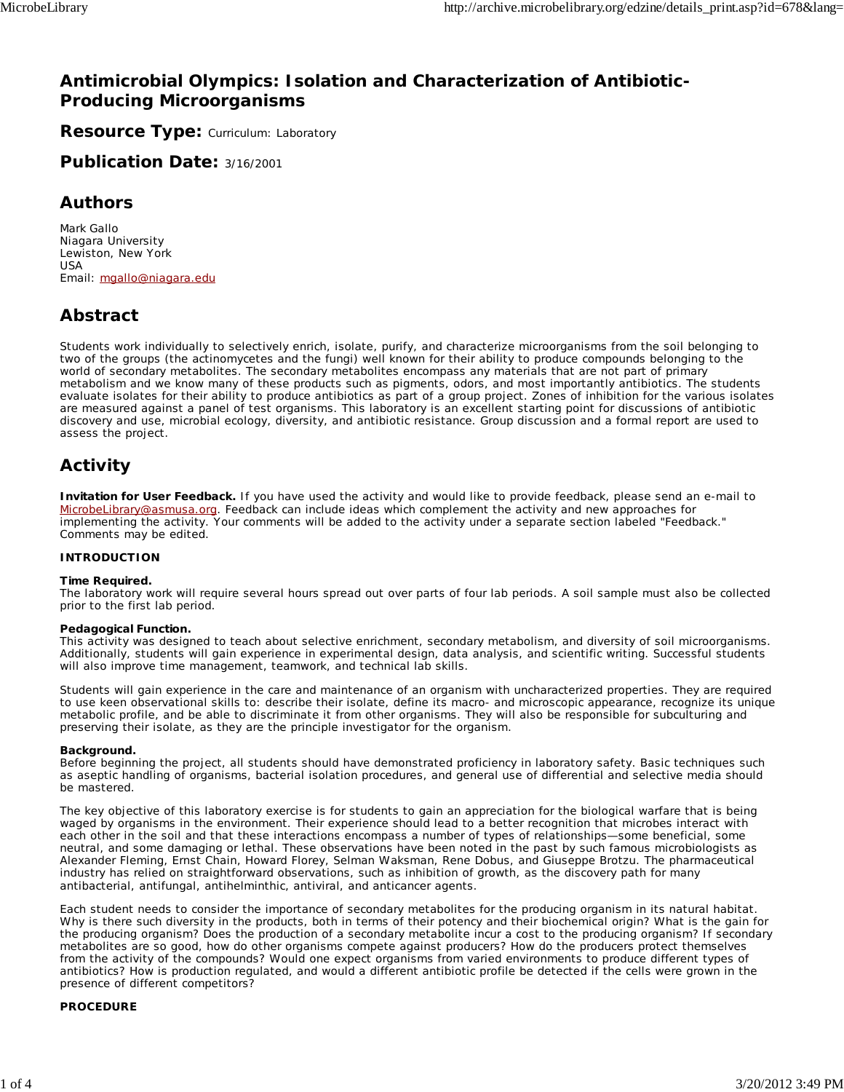### **Antimicrobial Olympics: Isolation and Characterization of Antibiotic-Producing Microorganisms**

**Resource Type: Curriculum: Laboratory** 

**Publication Date:** 3/16/2001

### **Authors**

*Mark Gallo* Niagara University Lewiston, New York USA Email: mgallo@niagara.edu

# **Abstract**

Students work individually to selectively enrich, isolate, purify, and characterize microorganisms from the soil belonging to two of the groups (the actinomycetes and the fungi) well known for their ability to produce compounds belonging to the world of secondary metabolites. The secondary metabolites encompass any materials that are not part of primary metabolism and we know many of these products such as pigments, odors, and most importantly antibiotics. The students evaluate isolates for their ability to produce antibiotics as part of a group project. Zones of inhibition for the various isolates are measured against a panel of test organisms. This laboratory is an excellent starting point for discussions of antibiotic discovery and use, microbial ecology, diversity, and antibiotic resistance. Group discussion and a formal report are used to assess the project.

# **Activity**

**Invitation for User Feedback.** If you have used the activity and would like to provide feedback, please send an e-mail to MicrobeLibrary@asmusa.org. Feedback can include ideas which complement the activity and new approaches for implementing the activity. Your comments will be added to the activity under a separate section labeled "Feedback." Comments may be edited.

#### **INTRODUCTION**

#### **Time Required.**

The laboratory work will require several hours spread out over parts of four lab periods. A soil sample must also be collected prior to the first lab period.

#### **Pedagogical Function.**

This activity was designed to teach about selective enrichment, secondary metabolism, and diversity of soil microorganisms. Additionally, students will gain experience in experimental design, data analysis, and scientific writing. Successful students will also improve time management, teamwork, and technical lab skills.

Students will gain experience in the care and maintenance of an organism with uncharacterized properties. They are required to use keen observational skills to: describe their isolate, define its macro- and microscopic appearance, recognize its unique metabolic profile, and be able to discriminate it from other organisms. They will also be responsible for subculturing and preserving their isolate, as they are the principle investigator for the organism.

#### **Background.**

Before beginning the project, all students should have demonstrated proficiency in laboratory safety. Basic techniques such as aseptic handling of organisms, bacterial isolation procedures, and general use of differential and selective media should be mastered.

The key objective of this laboratory exercise is for students to gain an appreciation for the biological warfare that is being waged by organisms in the environment. Their experience should lead to a better recognition that microbes interact with each other in the soil and that these interactions encompass a number of types of relationships—some beneficial, some neutral, and some damaging or lethal. These observations have been noted in the past by such famous microbiologists as Alexander Fleming, Ernst Chain, Howard Florey, Selman Waksman, Rene Dobus, and Giuseppe Brotzu. The pharmaceutical industry has relied on straightforward observations, such as inhibition of growth, as the discovery path for many antibacterial, antifungal, antihelminthic, antiviral, and anticancer agents.

Each student needs to consider the importance of secondary metabolites for the producing organism in its natural habitat. Why is there such diversity in the products, both in terms of their potency and their biochemical origin? What is the gain for the producing organism? Does the production of a secondary metabolite incur a cost to the producing organism? If secondary metabolites are so good, how do other organisms compete against producers? How do the producers protect themselves from the activity of the compounds? Would one expect organisms from varied environments to produce different types of antibiotics? How is production regulated, and would a different antibiotic profile be detected if the cells were grown in the presence of different competitors?

#### **PROCEDURE**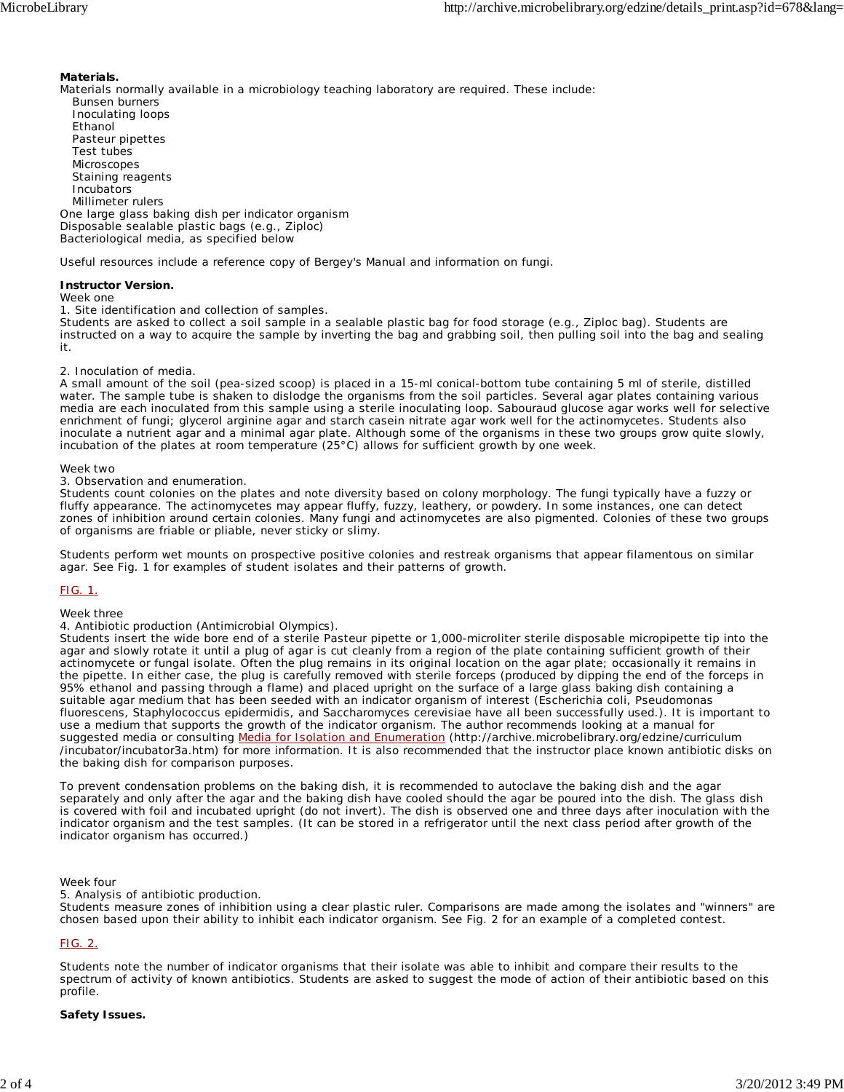#### **Materials.**

Materials normally available in a microbiology teaching laboratory are required. These include: Bunsen burners Inoculating loops Ethanol Pasteur pipettes Test tubes **Microscopes**  Staining reagents Incubators Millimeter rulers One large glass baking dish per indicator organism Disposable sealable plastic bags (e.g., Ziploc) Bacteriological media, as specified below

Useful resources include a reference copy of Bergey's Manual and information on fungi.

#### **Instructor Version.**

*Week one*

1. Site identification and collection of samples.

Students are asked to collect a soil sample in a sealable plastic bag for food storage (e.g., Ziploc bag). Students are instructed on a way to acquire the sample by inverting the bag and grabbing soil, then pulling soil into the bag and sealing it.

#### 2. Inoculation of media.

A small amount of the soil (pea-sized scoop) is placed in a 15-ml conical-bottom tube containing 5 ml of sterile, distilled water. The sample tube is shaken to dislodge the organisms from the soil particles. Several agar plates containing various media are each inoculated from this sample using a sterile inoculating loop. Sabouraud glucose agar works well for selective enrichment of fungi; glycerol arginine agar and starch casein nitrate agar work well for the actinomycetes. Students also inoculate a nutrient agar and a minimal agar plate. Although some of the organisms in these two groups grow quite slowly, incubation of the plates at room temperature (25°C) allows for sufficient growth by one week.

#### *Week two*

3. Observation and enumeration.

Students count colonies on the plates and note diversity based on colony morphology. The fungi typically have a fuzzy or fluffy appearance. The actinomycetes may appear fluffy, fuzzy, leathery, or powdery. In some instances, one can detect zones of inhibition around certain colonies. Many fungi and actinomycetes are also pigmented. Colonies of these two groups of organisms are friable or pliable, never sticky or slimy.

Students perform wet mounts on prospective positive colonies and restreak organisms that appear filamentous on similar agar. See Fig. 1 for examples of student isolates and their patterns of growth.

#### FIG. 1.

*Week three*

4. Antibiotic production (Antimicrobial Olympics).

Students insert the wide bore end of a sterile Pasteur pipette or 1,000-microliter sterile disposable micropipette tip into the agar and slowly rotate it until a plug of agar is cut cleanly from a region of the plate containing sufficient growth of their actinomycete or fungal isolate. Often the plug remains in its original location on the agar plate; occasionally it remains in the pipette. In either case, the plug is carefully removed with sterile forceps (produced by dipping the end of the forceps in 95% ethanol and passing through a flame) and placed upright on the surface of a large glass baking dish containing a suitable agar medium that has been seeded with an indicator organism of interest (*Escherichia coli*, *Pseudomonas fluorescens*, *Staphylococcus epidermidis*, and *Saccharomyces cerevisiae* have all been successfully used.). It is important to use a medium that supports the growth of the indicator organism. The author recommends looking at a manual for suggested media or consulting Media for Isolation and Enumeration (http://archive.microbelibrary.org/edzine/curriculum /incubator/incubator3a.htm) for more information. It is also recommended that the instructor place known antibiotic disks on the baking dish for comparison purposes.

To prevent condensation problems on the baking dish, it is recommended to autoclave the baking dish and the agar separately and only after the agar and the baking dish have cooled should the agar be poured into the dish. The glass dish is covered with foil and incubated upright (do not invert). The dish is observed one and three days after inoculation with the indicator organism and the test samples. (It can be stored in a refrigerator until the next class period after growth of the indicator organism has occurred.)

#### *Week four*

5. Analysis of antibiotic production.

Students measure zones of inhibition using a clear plastic ruler. Comparisons are made among the isolates and "winners" are chosen based upon their ability to inhibit each indicator organism. See Fig. 2 for an example of a completed contest.

#### FIG. 2.

Students note the number of indicator organisms that their isolate was able to inhibit and compare their results to the spectrum of activity of known antibiotics. Students are asked to suggest the mode of action of their antibiotic based on this profile.

#### **Safety Issues.**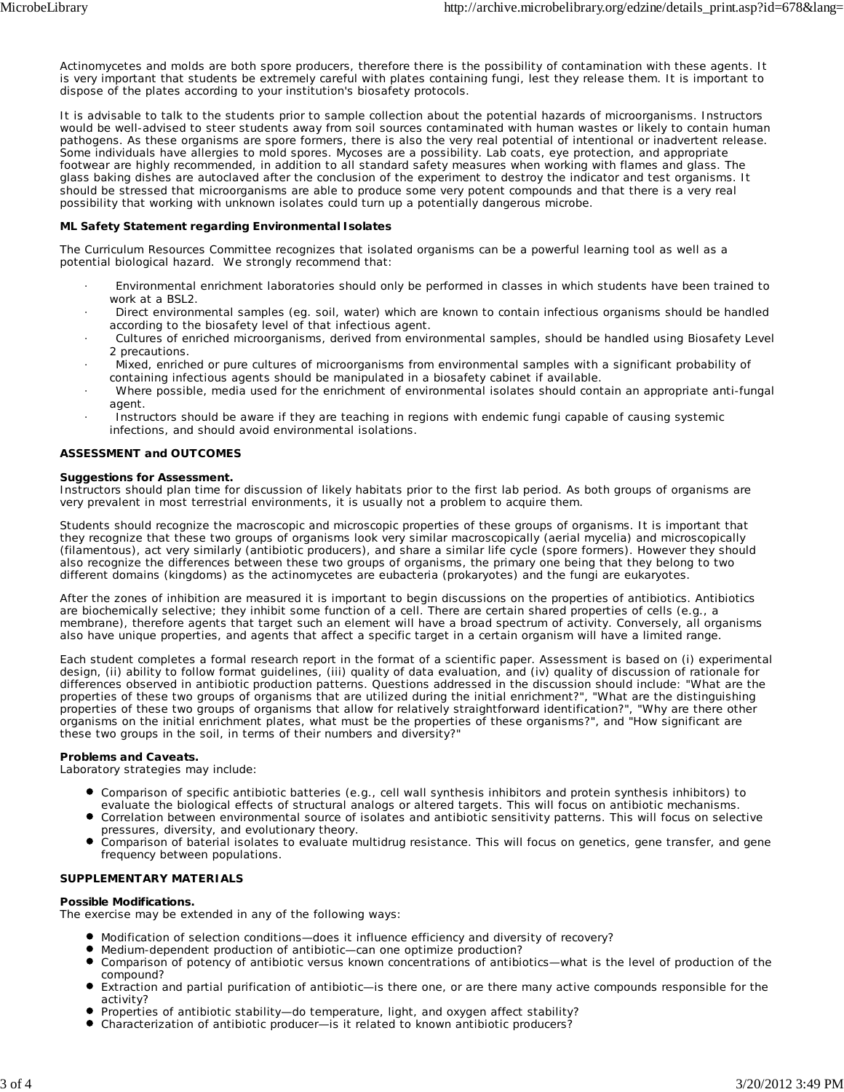Actinomycetes and molds are both spore producers, therefore there is the possibility of contamination with these agents. It is very important that students be extremely careful with plates containing fungi, lest they release them. It is important to dispose of the plates according to your institution's biosafety protocols.

It is advisable to talk to the students prior to sample collection about the potential hazards of microorganisms. Instructors would be well-advised to steer students away from soil sources contaminated with human wastes or likely to contain human pathogens. As these organisms are spore formers, there is also the very real potential of intentional or inadvertent release. Some individuals have allergies to mold spores. Mycoses are a possibility. Lab coats, eye protection, and appropriate footwear are highly recommended, in addition to all standard safety measures when working with flames and glass. The glass baking dishes are autoclaved after the conclusion of the experiment to destroy the indicator and test organisms. It should be stressed that microorganisms are able to produce some very potent compounds and that there is a very real possibility that working with unknown isolates could turn up a potentially dangerous microbe.

#### **ML Safety Statement regarding Environmental Isolates**

The Curriculum Resources Committee recognizes that isolated organisms can be a powerful learning tool as well as a potential biological hazard. We strongly recommend that:

- · Environmental enrichment laboratories should only be performed in classes in which students have been trained to work at a BSL2.
- · Direct environmental samples (eg. soil, water) which are known to contain infectious organisms should be handled according to the biosafety level of that infectious agent.
- · Cultures of enriched microorganisms, derived from environmental samples, should be handled using Biosafety Level 2 precautions.
- · Mixed, enriched or pure cultures of microorganisms from environmental samples with a significant probability of containing infectious agents should be manipulated in a biosafety cabinet if available.
- · Where possible, media used for the enrichment of environmental isolates should contain an appropriate anti-fungal agent.
- Instructors should be aware if they are teaching in regions with endemic fungi capable of causing systemic infections, and should avoid environmental isolations.

#### **ASSESSMENT and OUTCOMES**

#### **Suggestions for Assessment.**

Instructors should plan time for discussion of likely habitats prior to the first lab period. As both groups of organisms are very prevalent in most terrestrial environments, it is usually not a problem to acquire them.

Students should recognize the macroscopic and microscopic properties of these groups of organisms. It is important that they recognize that these two groups of organisms look very similar macroscopically (aerial mycelia) and microscopically (filamentous), act very similarly (antibiotic producers), and share a similar life cycle (spore formers). However they should also recognize the differences between these two groups of organisms, the primary one being that they belong to two different domains (kingdoms) as the actinomycetes are eubacteria (prokaryotes) and the fungi are eukaryotes.

After the zones of inhibition are measured it is important to begin discussions on the properties of antibiotics. Antibiotics are biochemically selective; they inhibit some function of a cell. There are certain shared properties of cells (e.g., a membrane), therefore agents that target such an element will have a broad spectrum of activity. Conversely, all organisms also have unique properties, and agents that affect a specific target in a certain organism will have a limited range.

Each student completes a formal research report in the format of a scientific paper. Assessment is based on (i) experimental design, (ii) ability to follow format guidelines, (iii) quality of data evaluation, and (iv) quality of discussion of rationale for differences observed in antibiotic production patterns. Questions addressed in the discussion should include: "What are the properties of these two groups of organisms that are utilized during the initial enrichment?", "What are the distinguishing properties of these two groups of organisms that allow for relatively straightforward identification?", "Why are there other organisms on the initial enrichment plates, what must be the properties of these organisms?", and "How significant are these two groups in the soil, in terms of their numbers and diversity?"

#### **Problems and Caveats.**

Laboratory strategies may include:

- Comparison of specific antibiotic batteries (e.g., cell wall synthesis inhibitors and protein synthesis inhibitors) to evaluate the biological effects of structural analogs or altered targets. This will focus on antibiotic mechanisms.
- Correlation between environmental source of isolates and antibiotic sensitivity patterns. This will focus on selective pressures, diversity, and evolutionary theory.
- Comparison of baterial isolates to evaluate multidrug resistance. This will focus on genetics, gene transfer, and gene frequency between populations.

#### **SUPPLEMENTARY MATERIALS**

#### **Possible Modifications.**

The exercise may be extended in any of the following ways:

- Modification of selection conditions—does it influence efficiency and diversity of recovery?
- Medium-dependent production of antibiotic—can one optimize production?
- Comparison of potency of antibiotic versus known concentrations of antibiotics—what is the level of production of the compound?
- $\bullet$ Extraction and partial purification of antibiotic—is there one, or are there many active compounds responsible for the activity?
- Properties of antibiotic stability—do temperature, light, and oxygen affect stability?
- Characterization of antibiotic producer—is it related to known antibiotic producers?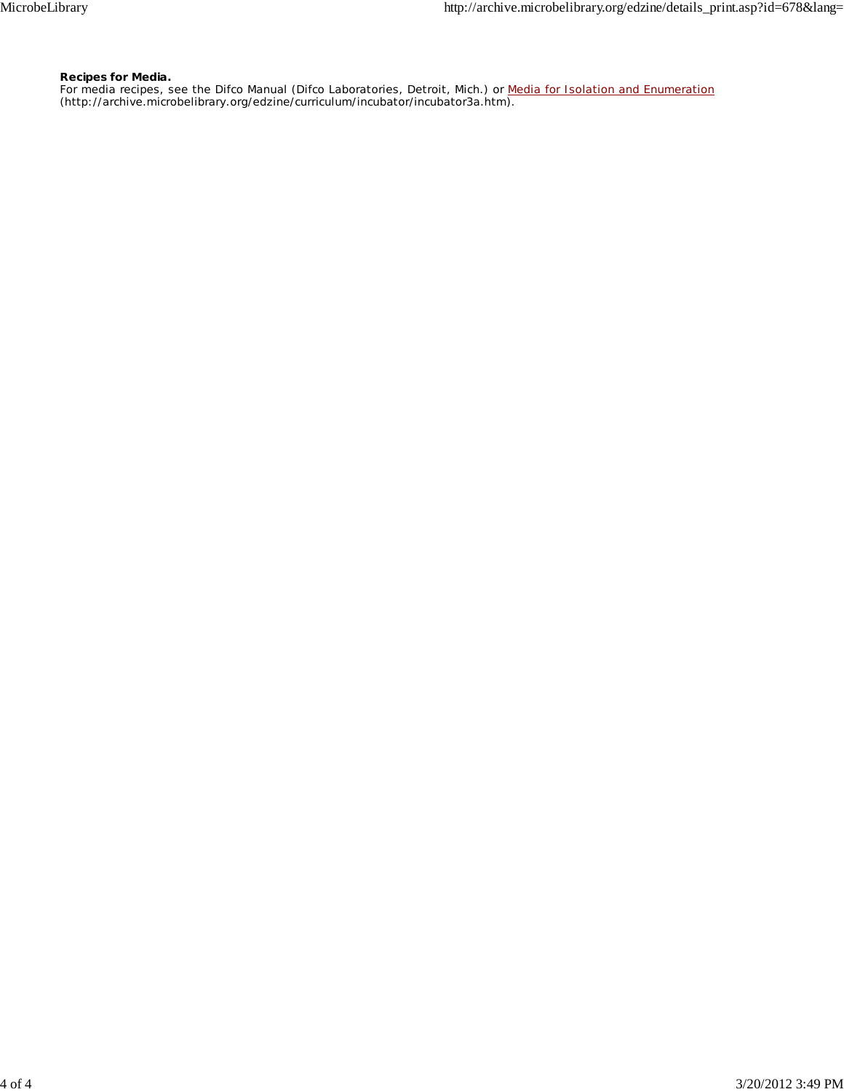#### **Recipes for Media.**

For media recipes, see the Difco Manual (Difco Laboratories, Detroit, Mich.) or Media for Isolation and Enumeration (http://archive.microbelibrary.org/edzine/curriculum/incubator/incubator3a.htm).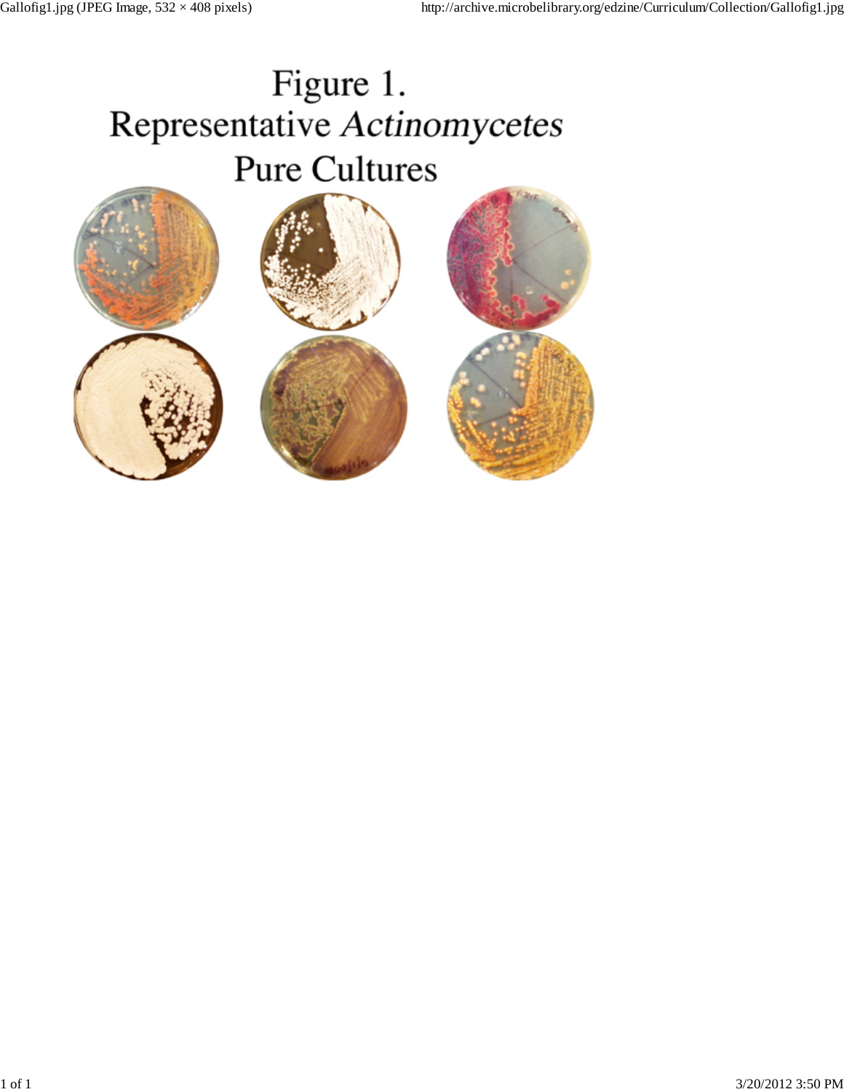# Figure 1. Representative Actinomycetes **Pure Cultures**

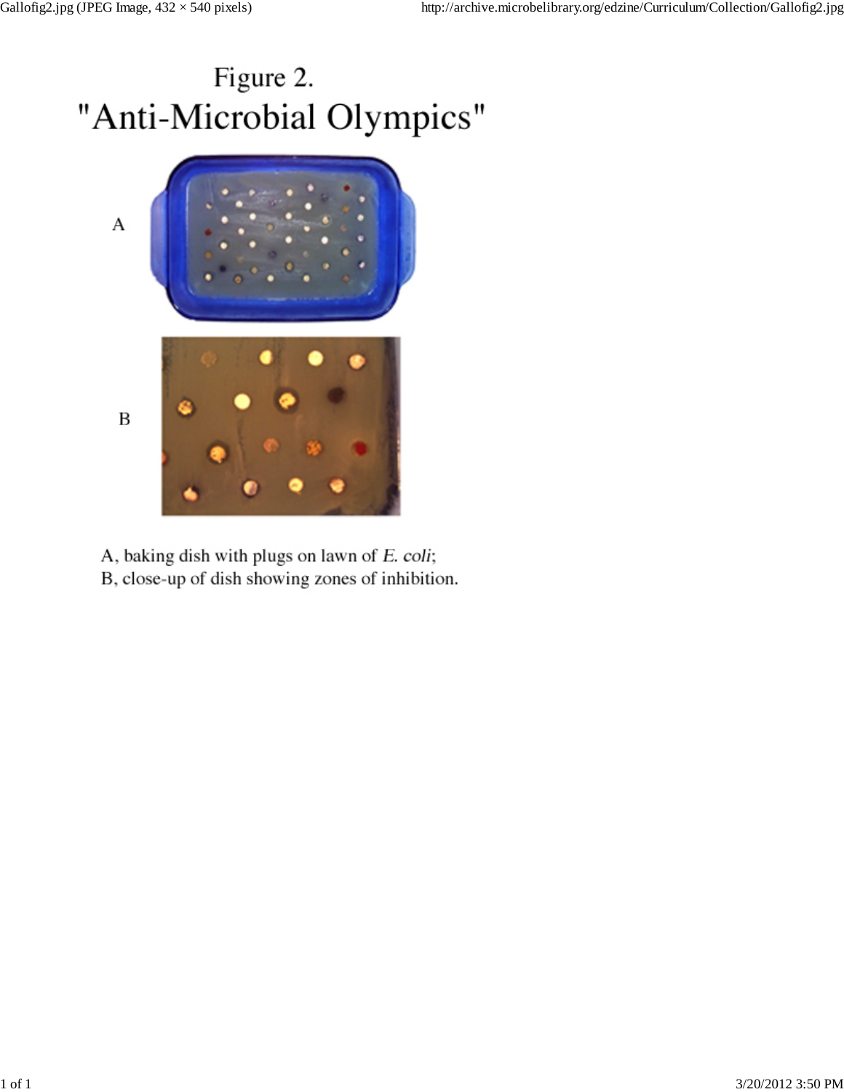# Figure 2. "Anti-Microbial Olympics"



- A, baking dish with plugs on lawn of E. coli;
- B, close-up of dish showing zones of inhibition.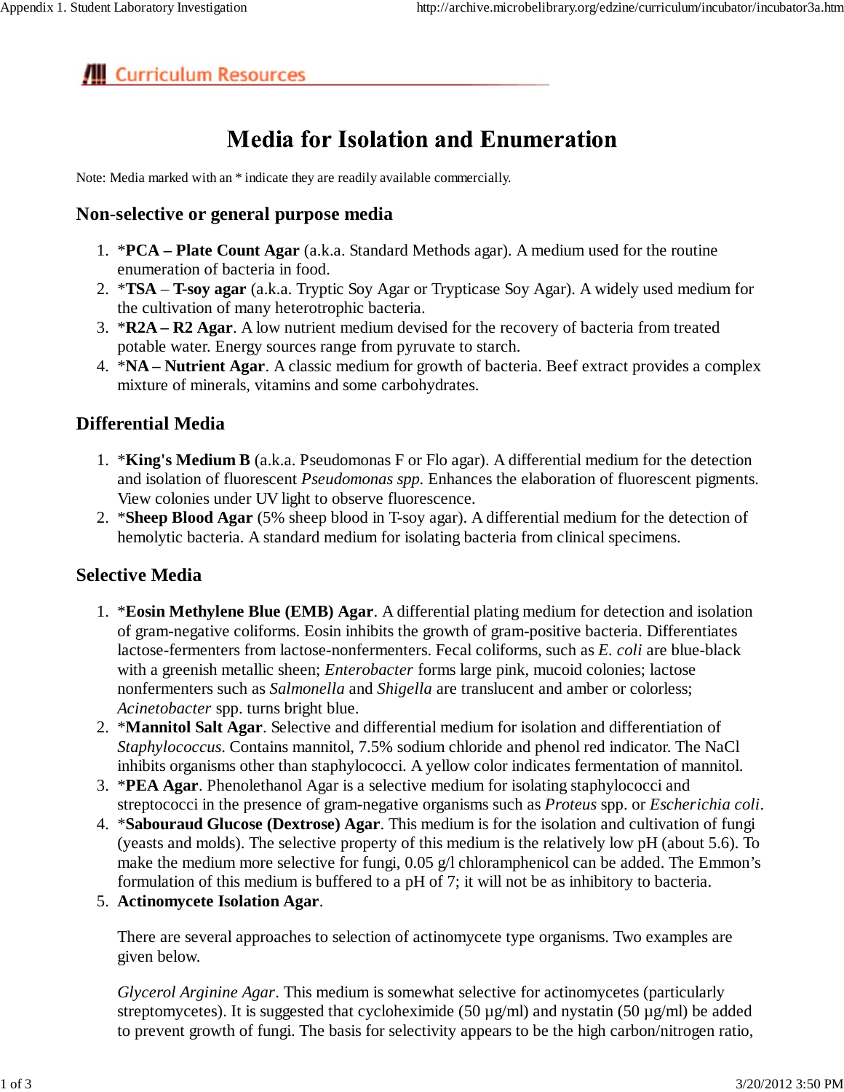# **III** Curriculum Resources

# **Media for Isolation and Enumeration**

Note: Media marked with an \* indicate they are readily available commercially.

## **Non-selective or general purpose media**

- \***PCA Plate Count Agar** (a.k.a. Standard Methods agar). A medium used for the routine 1. enumeration of bacteria in food.
- \***TSA** – **T-soy agar** (a.k.a. Tryptic Soy Agar or Trypticase Soy Agar). A widely used medium for 2. the cultivation of many heterotrophic bacteria.
- 3. **\*R2A R2 Agar**. A low nutrient medium devised for the recovery of bacteria from treated potable water. Energy sources range from pyruvate to starch.
- \***NA Nutrient Agar**. A classic medium for growth of bacteria. Beef extract provides a complex 4. mixture of minerals, vitamins and some carbohydrates.

# **Differential Media**

- 1. \***King's Medium B** (a.k.a. Pseudomonas F or Flo agar). A differential medium for the detection and isolation of fluorescent *Pseudomonas spp.* Enhances the elaboration of fluorescent pigments. View colonies under UV light to observe fluorescence.
- \***Sheep Blood Agar** (5% sheep blood in T-soy agar). A differential medium for the detection of 2. hemolytic bacteria. A standard medium for isolating bacteria from clinical specimens.

# **Selective Media**

- 1. \* Eosin Methylene Blue (EMB) Agar. A differential plating medium for detection and isolation of gram-negative coliforms. Eosin inhibits the growth of gram-positive bacteria. Differentiates lactose-fermenters from lactose-nonfermenters. Fecal coliforms, such as *E. coli* are blue-black with a greenish metallic sheen; *Enterobacter* forms large pink, mucoid colonies; lactose nonfermenters such as *Salmonella* and *Shigella* are translucent and amber or colorless; *Acinetobacter* spp. turns bright blue.
- 2. \*Mannitol Salt Agar. Selective and differential medium for isolation and differentiation of *Staphylococcus*. Contains mannitol, 7.5% sodium chloride and phenol red indicator. The NaCl inhibits organisms other than staphylococci. A yellow color indicates fermentation of mannitol.
- 3. **\*PEA Agar**. Phenolethanol Agar is a selective medium for isolating staphylococci and streptococci in the presence of gram-negative organisms such as *Proteus* spp. or *Escherichia coli*.
- \***Sabouraud Glucose (Dextrose) Agar**. This medium is for the isolation and cultivation of fungi 4. (yeasts and molds). The selective property of this medium is the relatively low pH (about 5.6). To make the medium more selective for fungi, 0.05 g/l chloramphenicol can be added. The Emmon's formulation of this medium is buffered to a pH of 7; it will not be as inhibitory to bacteria.
- 5. **Actinomycete Isolation Agar**.

There are several approaches to selection of actinomycete type organisms. Two examples are given below.

*Glycerol Arginine Agar*. This medium is somewhat selective for actinomycetes (particularly streptomycetes). It is suggested that cycloheximide (50  $\mu$ g/ml) and nystatin (50  $\mu$ g/ml) be added to prevent growth of fungi. The basis for selectivity appears to be the high carbon/nitrogen ratio,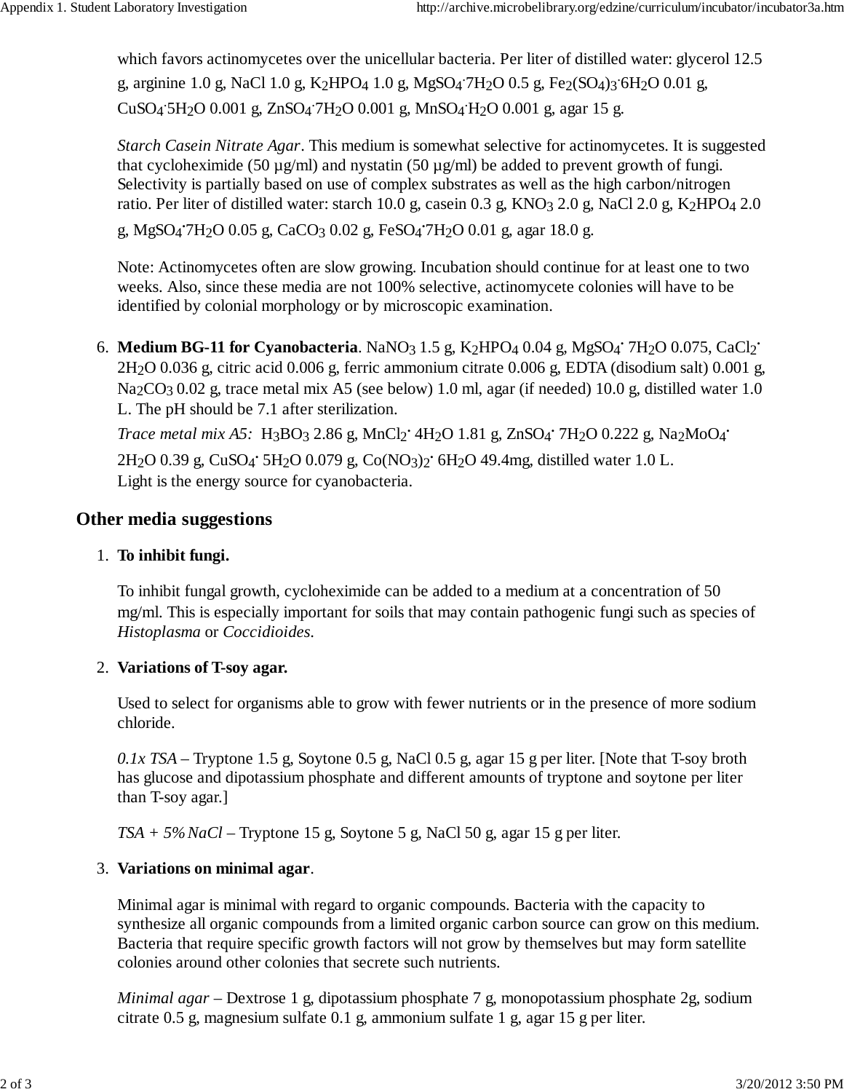which favors actinomycetes over the unicellular bacteria. Per liter of distilled water: glycerol 12.5 g, arginine 1.0 g, NaCl 1.0 g, K<sub>2</sub>HPO<sub>4</sub> 1.0 g, MgSO<sub>4</sub><sup>-7</sup>H<sub>2</sub>O 0.5 g, Fe<sub>2</sub>(SO<sub>4</sub>)<sub>3</sub><sup>-6</sup>H<sub>2</sub>O 0.01 g, CuSO4 . 5H2O 0.001 g, ZnSO4 . 7H2O 0.001 g, MnSO4 . H2O 0.001 g, agar 15 g.

*Starch Casein Nitrate Agar*. This medium is somewhat selective for actinomycetes. It is suggested that cycloheximide (50  $\mu$ g/ml) and nystatin (50  $\mu$ g/ml) be added to prevent growth of fungi. Selectivity is partially based on use of complex substrates as well as the high carbon/nitrogen ratio. Per liter of distilled water: starch 10.0 g, casein 0.3 g, KNO3 2.0 g, NaCl 2.0 g, K2HPO4 2.0

g, MgSO<sub>4</sub><sup>.</sup>7H<sub>2</sub>O 0.05 g, CaCO<sub>3</sub> 0.02 g, FeSO<sub>4</sub>.<sup>2</sup>H<sub>2</sub>O 0.01 g, agar 18.0 g.

Note: Actinomycetes often are slow growing. Incubation should continue for at least one to two weeks. Also, since these media are not 100% selective, actinomycete colonies will have to be identified by colonial morphology or by microscopic examination.

6. **Medium BG-11 for Cyanobacteria**. NaNO<sub>3</sub> 1.5 g, K<sub>2</sub>HPO<sub>4</sub> 0.04 g, MgSO<sub>4</sub><sup>·</sup> 7H<sub>2</sub>O 0.075, CaCl<sub>2</sub><sup>·</sup> 2H2O 0.036 g, citric acid 0.006 g, ferric ammonium citrate 0.006 g, EDTA (disodium salt) 0.001 g, Na<sub>2</sub>CO<sub>3</sub> 0.02 g, trace metal mix A5 (see below) 1.0 ml, agar (if needed) 10.0 g, distilled water 1.0 L. The pH should be 7.1 after sterilization.

*Trace metal mix A5*: H<sub>3</sub>BO<sub>3</sub> 2.86 g, MnCl<sub>2</sub><sup>·</sup> 4H<sub>2</sub>O 1.81 g, ZnSO<sub>4</sub><sup>·</sup> 7H<sub>2</sub>O 0.222 g, Na<sub>2</sub>MoO<sub>4</sub>· 2H2O 0.39 g, CuSO4 **.** 5H2O 0.079 g, Co(NO3)2 **.** 6H2O 49.4mg, distilled water 1.0 L. Light is the energy source for cyanobacteria.

# **Other media suggestions**

# 1. **To inhibit fungi.**

To inhibit fungal growth, cycloheximide can be added to a medium at a concentration of 50 mg/ml. This is especially important for soils that may contain pathogenic fungi such as species of *Histoplasma* or *Coccidioides*.

# 2. **Variations of T-soy agar.**

Used to select for organisms able to grow with fewer nutrients or in the presence of more sodium chloride.

*0.1x TSA* – Tryptone 1.5 g, Soytone 0.5 g, NaCl 0.5 g, agar 15 g per liter. [Note that T-soy broth has glucose and dipotassium phosphate and different amounts of tryptone and soytone per liter than T-soy agar.]

*TSA + 5% NaCl* – Tryptone 15 g, Soytone 5 g, NaCl 50 g, agar 15 g per liter.

# 3. **Variations on minimal agar**.

Minimal agar is minimal with regard to organic compounds. Bacteria with the capacity to synthesize all organic compounds from a limited organic carbon source can grow on this medium. Bacteria that require specific growth factors will not grow by themselves but may form satellite colonies around other colonies that secrete such nutrients.

*Minimal agar* – Dextrose 1 g, dipotassium phosphate 7 g, monopotassium phosphate 2g, sodium citrate 0.5 g, magnesium sulfate 0.1 g, ammonium sulfate 1 g, agar 15 g per liter.